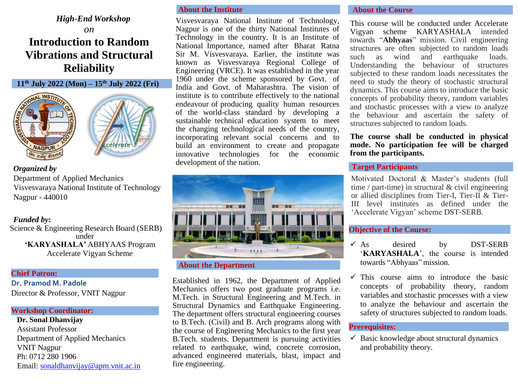# *High-End Workshop*

# *on* **Introduction to Random Vibrations and Structural Reliability**





# *Organized by*

**NAGPUR** 

Department of Applied Mechanics Visvesvaraya National Institute of Technology Nagpur - 440010

## *Funded by***:**

Science & Engineering Research Board (SERB) under **'KARYASHALA'** ABHYAAS Program Accelerate Vigyan Scheme

#### **Chief Patron:**

**Dr. Pramod M. Padole** Director & Professor, VNIT Nagpur

## **Workshop Coordinator:**

**Dr. Sonal Dhanvijay** Assistant Professor Department of Applied Mechanics VNIT Nagpur Ph: 0712 280 1906 Email: [sonaldhanvijay@apm.vnit.ac.in](mailto:sonaldhanvijay@apm.vnit.ac.in)

# **About the Institute**

Visvesvaraya National Institute of Technology, Nagpur is one of the thirty National Institutes of Technology in the country. It is an Institute of National Importance, named after Bharat Ratna Sir M. Visvesvaraya. Earlier, the institute was known as Visvesvaraya Regional College of Engineering (VRCE). It was established in the year 1960 under the scheme sponsored by Govt. of India and Govt. of Maharashtra. The vision of institute is to contribute effectively to the national endeavour of producing quality human resources of the world-class standard by developing a sustainable technical education system to meet the changing technological needs of the country, incorporating relevant social concerns and to build an environment to create and propagate innovative technologies for the economic development of the nation.



Established in 1962, the Department of Applied Mechanics offers two post graduate programs i.e. M.Tech. in Structural Engineering and M.Tech. in Structural Dynamics and Earthquake Engineering. The department offers structural engineering courses to B.Tech. (Civil) and B. Arch programs along with the course of Engineering Mechanics to the first year B.Tech. students. Department is pursuing activities related to earthquake, wind, concrete corrosion, advanced engineered materials, blast, impact and fire engineering.

#### **About the Course**

This course will be conducted under Accelerate Vigyan scheme KARYASHALA intended towards "**Abhyaas**" mission. Civil engineering structures are often subjected to random loads such as wind and earthquake loads. Understanding the behaviour of structures subjected to these random loads necessitates the need to study the theory of stochastic structural dynamics. This course aims to introduce the basic concepts of probability theory, random variables and stochastic processes with a view to analyze the behaviour and ascertain the safety of structures subjected to random loads.

**The course shall be conducted in physical mode. No participation fee will be charged from the participants.**

#### **Target Participants**

Motivated Doctoral & Master's students (full time / part-time) in structural & civil engineering or allied disciplines from Tier-I, Tier-II & Tier-III level institutes as defined under the 'Accelerate Vigyan' scheme DST-SERB.

#### **Objective of the Course:**

- $\checkmark$  As desired by DST-SERB '**KARYASHALA**', the course is intended towards "Abhyaas" mission.
- This course aims to introduce the basic concepts of probability theory, random variables and stochastic processes with a view to analyze the behaviour and ascertain the safety of structures subjected to random loads.

#### **Prerequisites:**

 $\checkmark$  Basic knowledge about structural dynamics and probability theory.